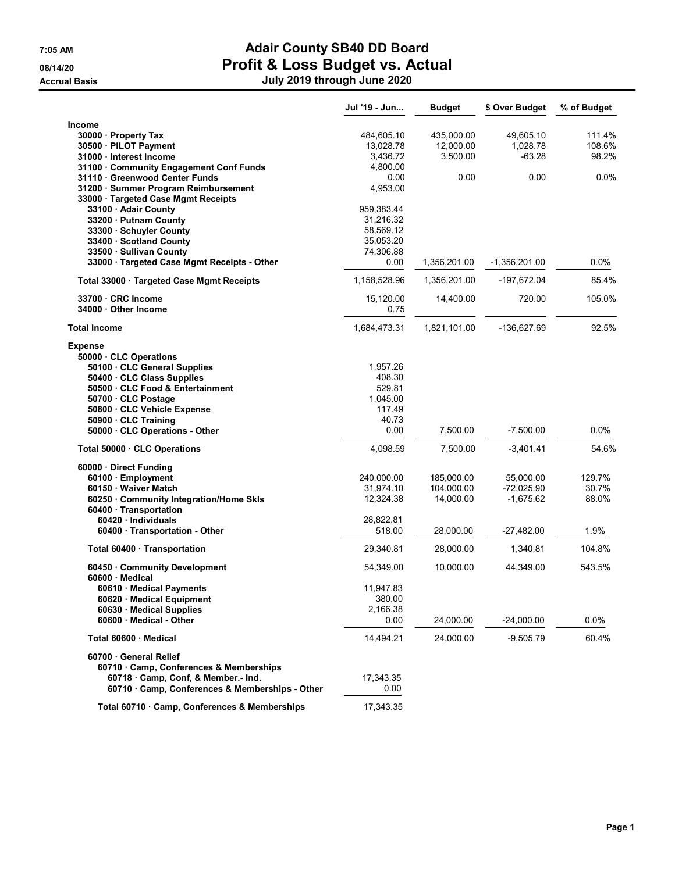**Accrual Basis** 

# 7:05 AM **Adair County SB40 DD Board** 08/14/20 **Profit & Loss Budget vs. Actual**

| PIUIII & LUSS DUUYEI VS. AULUAI |  |
|---------------------------------|--|
| July 2019 through June 2020     |  |
|                                 |  |

|                                                                      | Jul '19 - Jun     | <b>Budget</b> | \$ Over Budget | % of Budget |
|----------------------------------------------------------------------|-------------------|---------------|----------------|-------------|
| <b>Income</b>                                                        |                   |               |                |             |
| 30000 · Property Tax                                                 | 484,605.10        | 435,000.00    | 49,605.10      | 111.4%      |
| 30500 · PILOT Payment                                                | 13,028.78         | 12,000.00     | 1,028.78       | 108.6%      |
| 31000 · Interest Income                                              | 3,436.72          | 3,500.00      | $-63.28$       | 98.2%       |
| 31100 · Community Engagement Conf Funds                              | 4,800.00          |               |                |             |
| 31110 · Greenwood Center Funds                                       | 0.00              | 0.00          | 0.00           | $0.0\%$     |
| 31200 · Summer Program Reimbursement                                 | 4,953.00          |               |                |             |
| 33000 · Targeted Case Mgmt Receipts                                  |                   |               |                |             |
| 33100 Adair County                                                   | 959,383.44        |               |                |             |
| 33200 · Putnam County                                                | 31,216.32         |               |                |             |
| 33300 · Schuyler County                                              | 58,569.12         |               |                |             |
| 33400 · Scotland County                                              | 35,053.20         |               |                |             |
| 33500 Sullivan County<br>33000 · Targeted Case Mgmt Receipts - Other | 74,306.88<br>0.00 | 1,356,201.00  | -1,356,201.00  | $0.0\%$     |
| Total 33000 Targeted Case Mgmt Receipts                              | 1,158,528.96      | 1,356,201.00  | -197,672.04    | 85.4%       |
| 33700 · CRC Income                                                   | 15,120.00         | 14,400.00     | 720.00         | 105.0%      |
| 34000 Other Income                                                   | 0.75              |               |                |             |
| <b>Total Income</b>                                                  | 1,684,473.31      | 1,821,101.00  | -136,627.69    | 92.5%       |
| <b>Expense</b>                                                       |                   |               |                |             |
| 50000 · CLC Operations                                               |                   |               |                |             |
| 50100 CLC General Supplies                                           | 1,957.26          |               |                |             |
| 50400 · CLC Class Supplies                                           | 408.30            |               |                |             |
| 50500 · CLC Food & Entertainment                                     | 529.81            |               |                |             |
| 50700 CLC Postage                                                    | 1,045.00          |               |                |             |
| 50800 · CLC Vehicle Expense                                          | 117.49            |               |                |             |
| 50900 CLC Training                                                   | 40.73             |               |                |             |
| 50000 CLC Operations - Other                                         | 0.00              | 7,500.00      | $-7,500.00$    | 0.0%        |
| Total 50000 · CLC Operations                                         | 4,098.59          | 7,500.00      | $-3,401.41$    | 54.6%       |
| 60000 Direct Funding                                                 |                   |               |                |             |
| 60100 Employment                                                     | 240,000.00        | 185,000.00    | 55,000.00      | 129.7%      |
| 60150 Waiver Match                                                   | 31,974.10         | 104,000.00    | $-72,025.90$   | 30.7%       |
| 60250 Community Integration/Home Skls                                | 12,324.38         | 14,000.00     | $-1,675.62$    | 88.0%       |
| 60400 · Transportation                                               |                   |               |                |             |
| 60420 · Individuals                                                  | 28,822.81         |               |                |             |
| 60400 · Transportation - Other                                       | 518.00            | 28,000.00     | $-27,482.00$   | 1.9%        |
| Total 60400 · Transportation                                         | 29,340.81         | 28,000.00     | 1,340.81       | 104.8%      |
| 60450 Community Development                                          | 54,349.00         | 10,000.00     | 44,349.00      | 543.5%      |
| 60600 Medical                                                        |                   |               |                |             |
| 60610 · Medical Payments                                             | 11,947.83         |               |                |             |
| 60620 Medical Equipment                                              | 380.00            |               |                |             |
| 60630 Medical Supplies                                               | 2,166.38          |               |                |             |
| 60600 Medical - Other                                                | 0.00              | 24,000.00     | $-24,000.00$   | $0.0\%$     |
| Total 60600 · Medical                                                | 14,494.21         | 24,000.00     | $-9,505.79$    | 60.4%       |
| 60700 General Relief                                                 |                   |               |                |             |
| 60710 Camp, Conferences & Memberships                                |                   |               |                |             |
| 60718 Camp, Conf. & Member.- Ind.                                    | 17,343.35         |               |                |             |
| 60710 · Camp, Conferences & Memberships - Other                      | 0.00              |               |                |             |
| Total 60710 · Camp, Conferences & Memberships                        | 17,343.35         |               |                |             |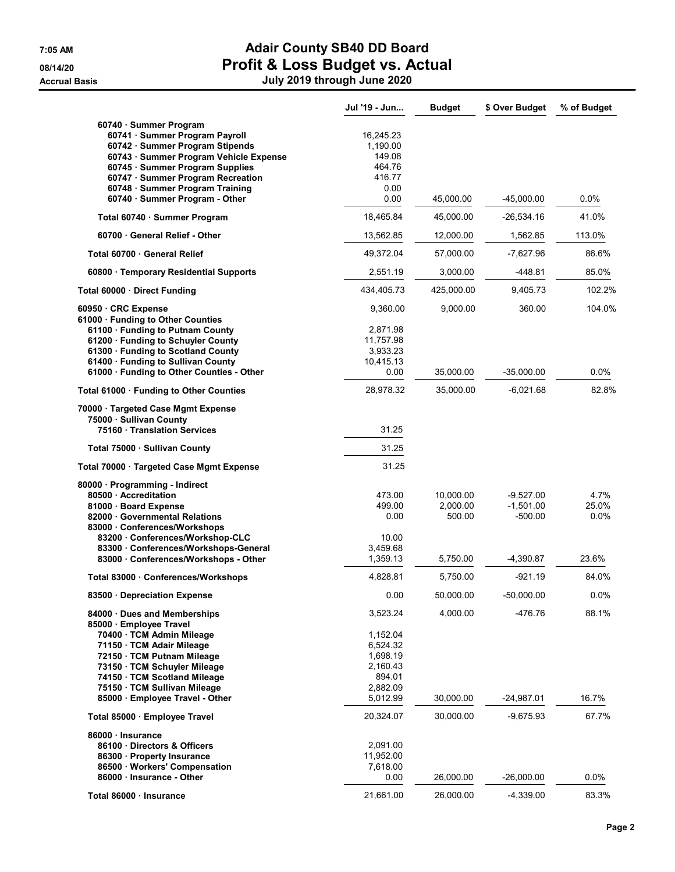|                                                                                                                                                                                                                                                                                    | Jul '19 - Jun                                                                  | <b>Budget</b>                   | \$ Over Budget                          | % of Budget           |
|------------------------------------------------------------------------------------------------------------------------------------------------------------------------------------------------------------------------------------------------------------------------------------|--------------------------------------------------------------------------------|---------------------------------|-----------------------------------------|-----------------------|
| 60740 · Summer Program<br>60741 · Summer Program Payroll<br>60742 · Summer Program Stipends<br>60743 · Summer Program Vehicle Expense<br>60745 · Summer Program Supplies<br>60747 · Summer Program Recreation<br>60748 · Summer Program Training<br>60740 · Summer Program - Other | 16,245.23<br>1,190.00<br>149.08<br>464.76<br>416.77<br>0.00<br>0.00            | 45,000.00                       | $-45,000.00$                            | 0.0%                  |
| Total 60740 · Summer Program                                                                                                                                                                                                                                                       | 18,465.84                                                                      | 45,000.00                       | $-26,534.16$                            | 41.0%                 |
| 60700 General Relief - Other                                                                                                                                                                                                                                                       | 13,562.85                                                                      | 12,000.00                       | 1,562.85                                | 113.0%                |
| Total 60700 · General Relief                                                                                                                                                                                                                                                       | 49.372.04                                                                      | 57,000.00                       | -7,627.96                               | 86.6%                 |
| 60800 · Temporary Residential Supports                                                                                                                                                                                                                                             | 2,551.19                                                                       | 3,000.00                        | -448.81                                 | 85.0%                 |
| Total 60000 Direct Funding                                                                                                                                                                                                                                                         | 434,405.73                                                                     | 425,000.00                      | 9,405.73                                | 102.2%                |
| 60950 CRC Expense<br>61000 · Funding to Other Counties<br>61100 · Funding to Putnam County<br>61200 · Funding to Schuyler County                                                                                                                                                   | 9,360.00<br>2,871.98<br>11,757.98                                              | 9,000.00                        | 360.00                                  | 104.0%                |
| 61300 Funding to Scotland County                                                                                                                                                                                                                                                   | 3,933.23                                                                       |                                 |                                         |                       |
| 61400 · Funding to Sullivan County<br>61000 · Funding to Other Counties - Other                                                                                                                                                                                                    | 10,415.13<br>0.00                                                              | 35,000.00                       | $-35,000.00$                            | $0.0\%$               |
| Total 61000 · Funding to Other Counties                                                                                                                                                                                                                                            | 28,978.32                                                                      | 35,000.00                       | $-6,021.68$                             | 82.8%                 |
| 70000 · Targeted Case Mgmt Expense<br>75000 · Sullivan County                                                                                                                                                                                                                      |                                                                                |                                 |                                         |                       |
| 75160 Translation Services                                                                                                                                                                                                                                                         | 31.25                                                                          |                                 |                                         |                       |
| Total 75000 · Sullivan County                                                                                                                                                                                                                                                      | 31.25                                                                          |                                 |                                         |                       |
| Total 70000 · Targeted Case Mgmt Expense                                                                                                                                                                                                                                           | 31.25                                                                          |                                 |                                         |                       |
| 80000 · Programming - Indirect<br>80500 Accreditation<br>81000 · Board Expense<br>82000 Governmental Relations<br>83000 Conferences/Workshops<br>83200 Conferences/Workshop-CLC                                                                                                    | 473.00<br>499.00<br>0.00<br>10.00                                              | 10,000.00<br>2,000.00<br>500.00 | $-9,527.00$<br>$-1,501.00$<br>$-500.00$ | 4.7%<br>25.0%<br>0.0% |
| 83300 · Conferences/Workshops-General<br>83000 Conferences/Workshops - Other                                                                                                                                                                                                       | 3,459.68<br>1,359.13                                                           | 5,750.00                        | -4,390.87                               | 23.6%                 |
| Total 83000 · Conferences/Workshops                                                                                                                                                                                                                                                | 4,828.81                                                                       | 5,750.00                        | $-921.19$                               | 84.0%                 |
| 83500 · Depreciation Expense                                                                                                                                                                                                                                                       | 0.00                                                                           | 50,000.00                       | $-50,000.00$                            | 0.0%                  |
| 84000 Dues and Memberships<br>85000 · Employee Travel<br>70400 · TCM Admin Mileage<br>71150 · TCM Adair Mileage<br>72150 · TCM Putnam Mileage<br>73150 TCM Schuyler Mileage<br>74150 · TCM Scotland Mileage<br>75150 · TCM Sullivan Mileage                                        | 3,523.24<br>1,152.04<br>6,524.32<br>1,698.19<br>2,160.43<br>894.01<br>2,882.09 | 4,000.00                        | -476.76                                 | 88.1%                 |
| 85000 · Employee Travel - Other                                                                                                                                                                                                                                                    | 5,012.99                                                                       | 30,000.00                       | $-24,987.01$                            | 16.7%                 |
| Total 85000 · Employee Travel<br>86000 · Insurance<br>86100 Directors & Officers<br>86300 Property Insurance<br>86500 · Workers' Compensation                                                                                                                                      | 20,324.07<br>2,091.00<br>11,952.00<br>7,618.00                                 | 30,000.00                       | $-9,675.93$                             | 67.7%                 |
| 86000 Insurance - Other                                                                                                                                                                                                                                                            | 0.00                                                                           | 26,000.00                       | $-26,000.00$                            | 0.0%                  |
| Total 86000 · Insurance                                                                                                                                                                                                                                                            | 21,661.00                                                                      | 26,000.00                       | $-4,339.00$                             | 83.3%                 |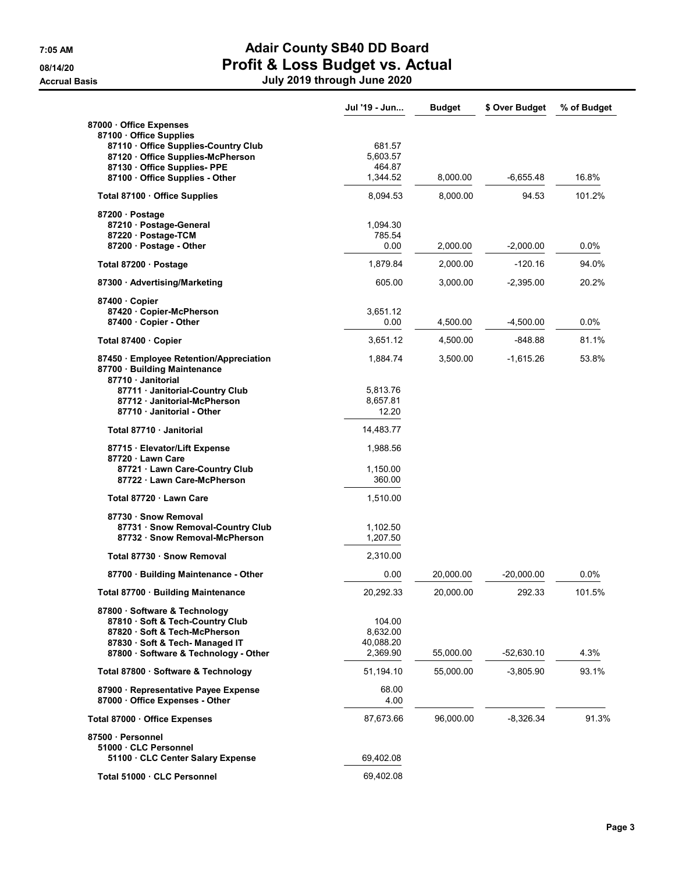|                                                                                                                                                       | Jul '19 - Jun                   | <b>Budget</b> | \$ Over Budget | % of Budget |
|-------------------------------------------------------------------------------------------------------------------------------------------------------|---------------------------------|---------------|----------------|-------------|
| 87000 Office Expenses<br>87100 Office Supplies<br>87110 Office Supplies-Country Club<br>87120 Office Supplies-McPherson<br>87130 Office Supplies- PPE | 681.57<br>5,603.57<br>464.87    |               |                |             |
| 87100 Office Supplies - Other                                                                                                                         | 1,344.52                        | 8,000.00      | $-6,655.48$    | 16.8%       |
| Total 87100 · Office Supplies                                                                                                                         | 8,094.53                        | 8,000.00      | 94.53          | 101.2%      |
| 87200 · Postage<br>87210 · Postage-General<br>87220 · Postage-TCM<br>87200 · Postage - Other                                                          | 1,094.30<br>785.54<br>0.00      | 2,000.00      | $-2,000.00$    | $0.0\%$     |
| Total 87200 · Postage                                                                                                                                 | 1,879.84                        | 2,000.00      | $-120.16$      | 94.0%       |
| 87300 Advertising/Marketing                                                                                                                           | 605.00                          | 3,000.00      | $-2,395.00$    | 20.2%       |
| 87400 Copier<br>87420 Copier-McPherson<br>87400 Copier - Other                                                                                        | 3,651.12<br>0.00                | 4,500.00      | $-4,500.00$    | 0.0%        |
| Total 87400 · Copier                                                                                                                                  | 3,651.12                        | 4,500.00      | -848.88        | 81.1%       |
| 87450 Employee Retention/Appreciation<br>87700 · Building Maintenance<br>87710 Janitorial                                                             | 1,884.74                        | 3,500.00      | $-1,615.26$    | 53.8%       |
| 87711 · Janitorial-Country Club<br>87712 Janitorial-McPherson<br>87710 Janitorial - Other                                                             | 5,813.76<br>8,657.81<br>12.20   |               |                |             |
| Total 87710 · Janitorial                                                                                                                              | 14,483.77                       |               |                |             |
| 87715 · Elevator/Lift Expense<br>87720 Lawn Care<br>87721 · Lawn Care-Country Club                                                                    | 1,988.56<br>1,150.00            |               |                |             |
| 87722 Lawn Care-McPherson                                                                                                                             | 360.00                          |               |                |             |
| Total 87720 · Lawn Care                                                                                                                               | 1,510.00                        |               |                |             |
| 87730 Snow Removal<br>87731 Snow Removal-Country Club<br>87732 · Snow Removal-McPherson                                                               | 1,102.50<br>1,207.50            |               |                |             |
| Total 87730 · Snow Removal                                                                                                                            | 2,310.00                        |               |                |             |
| 87700 · Building Maintenance - Other                                                                                                                  | 0.00                            | 20,000.00     | $-20,000.00$   | $0.0\%$     |
| Total 87700 · Building Maintenance                                                                                                                    | 20,292.33                       | 20,000.00     | 292.33         | 101.5%      |
| 87800 · Software & Technology<br>87810 · Soft & Tech-Country Club<br>87820 · Soft & Tech-McPherson<br>87830 Soft & Tech-Managed IT                    | 104.00<br>8,632.00<br>40,088.20 |               |                |             |
| 87800 Software & Technology - Other                                                                                                                   | 2,369.90                        | 55,000.00     | -52,630.10     | 4.3%        |
| Total 87800 · Software & Technology                                                                                                                   | 51,194.10                       | 55,000.00     | $-3,805.90$    | 93.1%       |
| 87900 · Representative Payee Expense<br>87000 Office Expenses - Other                                                                                 | 68.00<br>4.00                   |               |                |             |
| Total 87000 Office Expenses                                                                                                                           | 87,673.66                       | 96,000.00     | $-8,326.34$    | 91.3%       |
| 87500 · Personnel<br>51000 CLC Personnel<br>51100 CLC Center Salary Expense                                                                           | 69,402.08                       |               |                |             |
| Total 51000 · CLC Personnel                                                                                                                           | 69,402.08                       |               |                |             |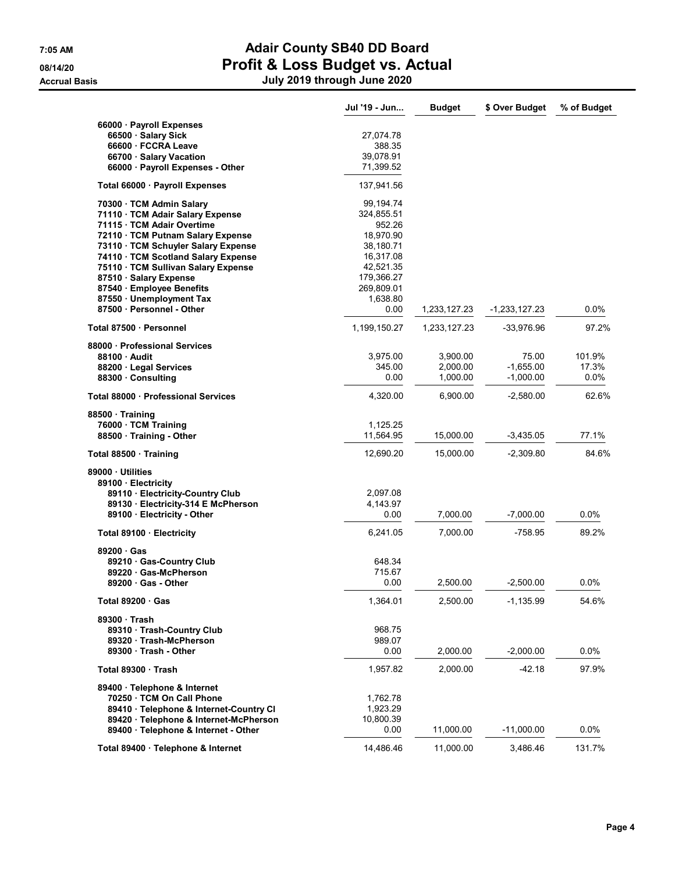|                                                                 | Jul '19 - Jun         | <b>Budget</b>        | \$ Over Budget             | % of Budget   |
|-----------------------------------------------------------------|-----------------------|----------------------|----------------------------|---------------|
| 66000 Payroll Expenses                                          |                       |                      |                            |               |
| 66500 · Salary Sick                                             | 27,074.78             |                      |                            |               |
| 66600 · FCCRA Leave                                             | 388.35                |                      |                            |               |
| 66700 · Salary Vacation                                         | 39,078.91             |                      |                            |               |
| 66000 · Payroll Expenses - Other                                | 71,399.52             |                      |                            |               |
| Total 66000 · Payroll Expenses                                  | 137,941.56            |                      |                            |               |
| 70300 · TCM Admin Salary                                        | 99,194.74             |                      |                            |               |
| 71110 · TCM Adair Salary Expense                                | 324,855.51            |                      |                            |               |
| 71115 · TCM Adair Overtime<br>72110 · TCM Putnam Salary Expense | 952.26<br>18.970.90   |                      |                            |               |
| 73110 · TCM Schuyler Salary Expense                             | 38,180.71             |                      |                            |               |
| 74110 · TCM Scotland Salary Expense                             | 16,317.08             |                      |                            |               |
| 75110 · TCM Sullivan Salary Expense                             | 42,521.35             |                      |                            |               |
| 87510 · Salary Expense                                          | 179,366.27            |                      |                            |               |
| 87540 Employee Benefits                                         | 269,809.01            |                      |                            |               |
| 87550 · Unemployment Tax                                        | 1,638.80              |                      |                            |               |
| 87500 · Personnel - Other                                       | 0.00                  | 1,233,127.23         | $-1,233,127.23$            | 0.0%          |
| Total 87500 · Personnel                                         | 1,199,150.27          | 1,233,127.23         | -33,976.96                 | 97.2%         |
| 88000 · Professional Services                                   |                       |                      |                            |               |
| 88100 Audit                                                     | 3,975.00              | 3,900.00             | 75.00                      | 101.9%        |
| 88200 Legal Services<br>88300 Consulting                        | 345.00<br>0.00        | 2,000.00<br>1,000.00 | $-1,655.00$<br>$-1,000.00$ | 17.3%<br>0.0% |
|                                                                 |                       |                      |                            |               |
| Total 88000 · Professional Services                             | 4,320.00              | 6,900.00             | $-2,580.00$                | 62.6%         |
| 88500 Training                                                  |                       |                      |                            |               |
| 76000 · TCM Training                                            | 1,125.25<br>11,564.95 | 15,000.00            | $-3,435.05$                | 77.1%         |
| 88500 · Training - Other                                        |                       |                      |                            |               |
| Total 88500 · Training                                          | 12,690.20             | 15,000.00            | $-2,309.80$                | 84.6%         |
| 89000 Utilities<br>89100 · Electricity                          |                       |                      |                            |               |
| 89110 Electricity-Country Club                                  | 2,097.08              |                      |                            |               |
| 89130 Electricity-314 E McPherson                               | 4,143.97              |                      |                            |               |
| 89100 Electricity - Other                                       | 0.00                  | 7,000.00             | $-7,000.00$                | 0.0%          |
| Total 89100 · Electricity                                       | 6,241.05              | 7,000.00             | -758.95                    | 89.2%         |
| 89200 Gas                                                       |                       |                      |                            |               |
| 89210 Gas-Country Club                                          | 648.34                |                      |                            |               |
| 89220 Gas-McPherson                                             | 715.67                |                      |                            |               |
| 89200 Gas - Other                                               | 0.00                  | 2,500.00             | $-2,500.00$                | 0.0%          |
| Total 89200 · Gas                                               | 1,364.01              | 2,500.00             | $-1,135.99$                | 54.6%         |
| 89300 Trash                                                     |                       |                      |                            |               |
| 89310 · Trash-Country Club                                      | 968.75                |                      |                            |               |
| 89320 · Trash-McPherson                                         | 989.07                |                      |                            |               |
| 89300 Trash - Other                                             | 0.00                  | 2,000.00             | $-2,000.00$                | 0.0%          |
| Total 89300 Trash                                               | 1,957.82              | 2,000.00             | $-42.18$                   | 97.9%         |
| 89400 · Telephone & Internet                                    |                       |                      |                            |               |
| 70250 · TCM On Call Phone                                       | 1,762.78              |                      |                            |               |
| 89410 · Telephone & Internet-Country CI                         | 1,923.29              |                      |                            |               |
| 89420 · Telephone & Internet-McPherson                          | 10,800.39             |                      |                            |               |
| 89400 · Telephone & Internet - Other                            | 0.00                  | 11,000.00            | $-11,000.00$               | $0.0\%$       |
| Total 89400 · Telephone & Internet                              | 14,486.46             | 11,000.00            | 3,486.46                   | 131.7%        |